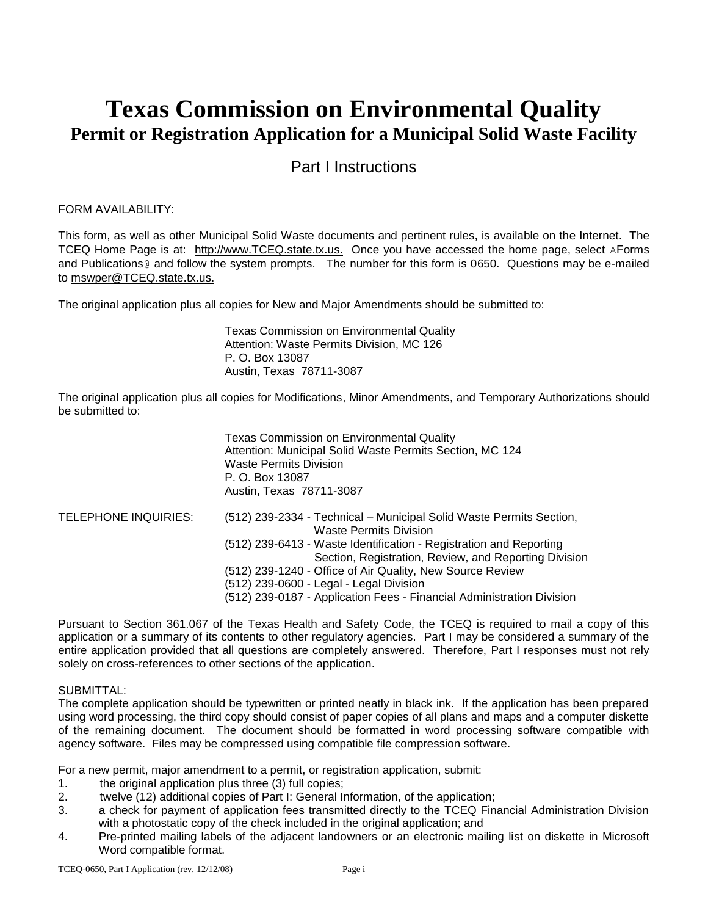# **Texas Commission on Environmental Quality Permit or Registration Application for a Municipal Solid Waste Facility**

# Part I Instructions

# FORM AVAILABILITY:

This form, as well as other Municipal Solid Waste documents and pertinent rules, is available on the Internet. The TCEQ Home Page is at: http://www.TCEQ.state.tx.us. Once you have accessed the home page, select AForms and Publications@ and follow the system prompts. The number for this form is 0650. Questions may be e-mailed to mswper@TCEQ.state.tx.us.

The original application plus all copies for New and Major Amendments should be submitted to:

Texas Commission on Environmental Quality Attention: Waste Permits Division, MC 126 P. O. Box 13087 Austin, Texas 78711-3087

The original application plus all copies for Modifications, Minor Amendments, and Temporary Authorizations should be submitted to:

|                      | <b>Texas Commission on Environmental Quality</b><br>Attention: Municipal Solid Waste Permits Section, MC 124<br><b>Waste Permits Division</b><br>P. O. Box 13087<br>Austin, Texas 78711-3087                                                                                                     |
|----------------------|--------------------------------------------------------------------------------------------------------------------------------------------------------------------------------------------------------------------------------------------------------------------------------------------------|
| TELEPHONE INQUIRIES: | (512) 239-2334 - Technical – Municipal Solid Waste Permits Section,<br><b>Waste Permits Division</b><br>(512) 239-6413 - Waste Identification - Registration and Reporting<br>Section, Registration, Review, and Reporting Division<br>(512) 239-1240 - Office of Air Quality, New Source Review |
|                      | (512) 239-0600 - Legal - Legal Division<br>(512) 239-0187 - Application Fees - Financial Administration Division                                                                                                                                                                                 |

Pursuant to Section 361.067 of the Texas Health and Safety Code, the TCEQ is required to mail a copy of this application or a summary of its contents to other regulatory agencies. Part I may be considered a summary of the entire application provided that all questions are completely answered. Therefore, Part I responses must not rely solely on cross-references to other sections of the application.

#### SUBMITTAL:

The complete application should be typewritten or printed neatly in black ink. If the application has been prepared using word processing, the third copy should consist of paper copies of all plans and maps and a computer diskette of the remaining document. The document should be formatted in word processing software compatible with agency software. Files may be compressed using compatible file compression software.

For a new permit, major amendment to a permit, or registration application, submit:

- 1. the original application plus three (3) full copies;
- 2. twelve (12) additional copies of Part I: General Information, of the application;
- 3. a check for payment of application fees transmitted directly to the TCEQ Financial Administration Division with a photostatic copy of the check included in the original application; and
- 4. Pre-printed mailing labels of the adjacent landowners or an electronic mailing list on diskette in Microsoft Word compatible format.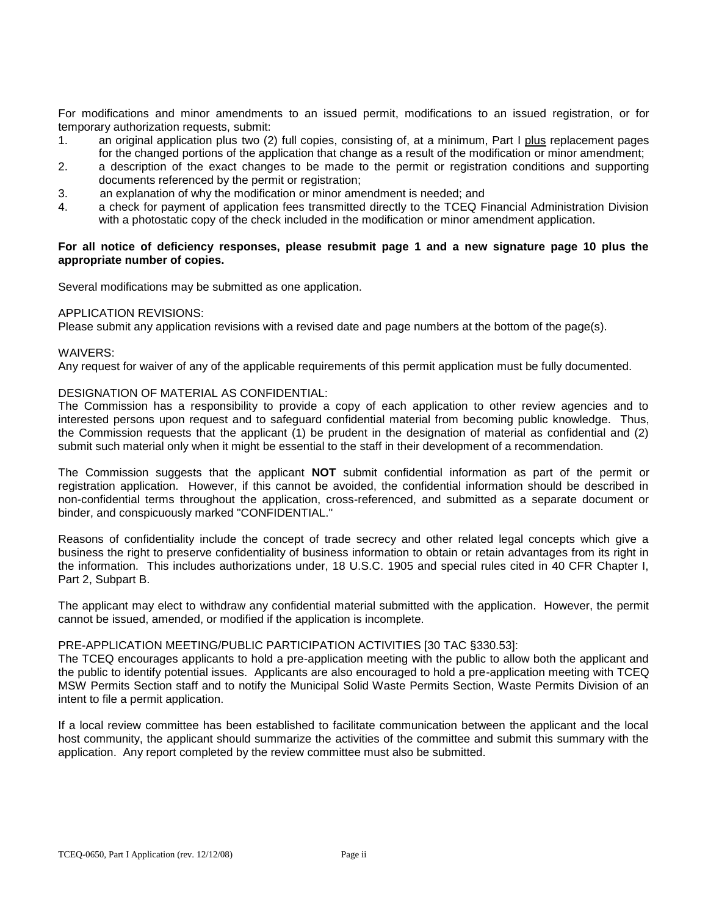For modifications and minor amendments to an issued permit, modifications to an issued registration, or for temporary authorization requests, submit:

- 1. an original application plus two (2) full copies, consisting of, at a minimum, Part I plus replacement pages for the changed portions of the application that change as a result of the modification or minor amendment;
- 2. a description of the exact changes to be made to the permit or registration conditions and supporting documents referenced by the permit or registration;
- 3. an explanation of why the modification or minor amendment is needed; and
- 4. a check for payment of application fees transmitted directly to the TCEQ Financial Administration Division with a photostatic copy of the check included in the modification or minor amendment application.

#### **For all notice of deficiency responses, please resubmit page 1 and a new signature page 10 plus the appropriate number of copies.**

Several modifications may be submitted as one application.

#### APPLICATION REVISIONS:

Please submit any application revisions with a revised date and page numbers at the bottom of the page(s).

#### WAIVERS:

Any request for waiver of any of the applicable requirements of this permit application must be fully documented.

#### DESIGNATION OF MATERIAL AS CONFIDENTIAL:

The Commission has a responsibility to provide a copy of each application to other review agencies and to interested persons upon request and to safeguard confidential material from becoming public knowledge. Thus, the Commission requests that the applicant (1) be prudent in the designation of material as confidential and (2) submit such material only when it might be essential to the staff in their development of a recommendation.

The Commission suggests that the applicant **NOT** submit confidential information as part of the permit or registration application. However, if this cannot be avoided, the confidential information should be described in non-confidential terms throughout the application, cross-referenced, and submitted as a separate document or binder, and conspicuously marked "CONFIDENTIAL."

Reasons of confidentiality include the concept of trade secrecy and other related legal concepts which give a business the right to preserve confidentiality of business information to obtain or retain advantages from its right in the information. This includes authorizations under, 18 U.S.C. 1905 and special rules cited in 40 CFR Chapter I, Part 2, Subpart B.

The applicant may elect to withdraw any confidential material submitted with the application. However, the permit cannot be issued, amended, or modified if the application is incomplete.

#### PRE-APPLICATION MEETING/PUBLIC PARTICIPATION ACTIVITIES [30 TAC §330.53]:

The TCEQ encourages applicants to hold a pre-application meeting with the public to allow both the applicant and the public to identify potential issues. Applicants are also encouraged to hold a pre-application meeting with TCEQ MSW Permits Section staff and to notify the Municipal Solid Waste Permits Section, Waste Permits Division of an intent to file a permit application.

If a local review committee has been established to facilitate communication between the applicant and the local host community, the applicant should summarize the activities of the committee and submit this summary with the application. Any report completed by the review committee must also be submitted.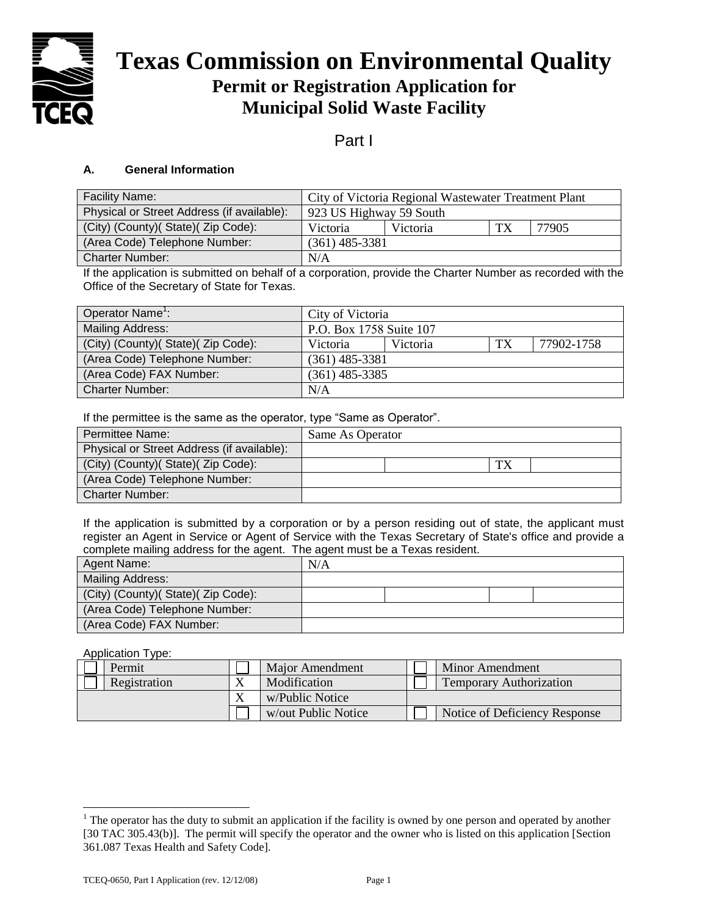

# **Texas Commission on Environmental Quality Permit or Registration Application for Municipal Solid Waste Facility**

# Part I

# **A. General Information**

| <b>Facility Name:</b>                      | City of Victoria Regional Wastewater Treatment Plant |  |  |  |
|--------------------------------------------|------------------------------------------------------|--|--|--|
| Physical or Street Address (if available): | 923 US Highway 59 South                              |  |  |  |
| (City) (County)( State)( Zip Code):        | TX<br>77905<br>Victoria<br>Victoria                  |  |  |  |
| (Area Code) Telephone Number:              | $(361)$ 485-3381                                     |  |  |  |
| <b>Charter Number:</b>                     | N/A                                                  |  |  |  |

If the application is submitted on behalf of a corporation, provide the Charter Number as recorded with the Office of the Secretary of State for Texas.

| Operator Name <sup>1</sup> :        | City of Victoria        |          |    |            |
|-------------------------------------|-------------------------|----------|----|------------|
| <b>Mailing Address:</b>             | P.O. Box 1758 Suite 107 |          |    |            |
| (City) (County) (State) (Zip Code): | <b>Victoria</b>         | Victoria | TX | 77902-1758 |
| (Area Code) Telephone Number:       | $(361)$ 485-3381        |          |    |            |
| (Area Code) FAX Number:             | $(361)$ 485-3385        |          |    |            |
| <b>Charter Number:</b>              | N/A                     |          |    |            |

If the permittee is the same as the operator, type "Same as Operator".

| Permittee Name:                            | Same As Operator |  |
|--------------------------------------------|------------------|--|
| Physical or Street Address (if available): |                  |  |
| (City) (County) (State) (Zip Code):        | TX               |  |
| (Area Code) Telephone Number:              |                  |  |
| Charter Number:                            |                  |  |

If the application is submitted by a corporation or by a person residing out of state, the applicant must register an Agent in Service or Agent of Service with the Texas Secretary of State's office and provide a complete mailing address for the agent. The agent must be a Texas resident.

| Agent Name:                         | N/A |  |  |
|-------------------------------------|-----|--|--|
| Mailing Address:                    |     |  |  |
| (City) (County)( State)( Zip Code): |     |  |  |
| (Area Code) Telephone Number:       |     |  |  |
| (Area Code) FAX Number:             |     |  |  |

Application Type:

| Permit       | Major Amendment     | Minor Amendment                |
|--------------|---------------------|--------------------------------|
| Registration | Modification        | <b>Temporary Authorization</b> |
|              | w/Public Notice     |                                |
|              | w/out Public Notice | Notice of Deficiency Response  |

<sup>&</sup>lt;sup>1</sup> The operator has the duty to submit an application if the facility is owned by one person and operated by another [30 TAC 305.43(b)]. The permit will specify the operator and the owner who is listed on this application [Section] 361.087 Texas Health and Safety Code].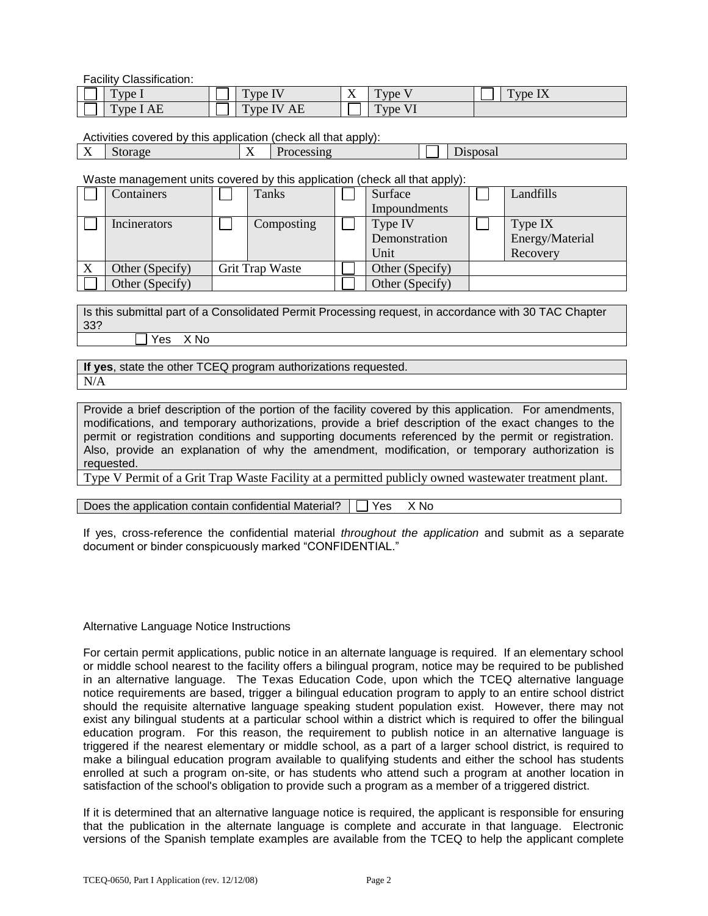Facility Classification:

| $\mathbf{r}$<br>VDE                | $\sim$<br>$\forall$ pe $\exists$ V | $\mathbf{v}$ | $\mathbf{r}$<br>1 vpe | $\sim$<br>$\forall$ vpe $\Lambda$ |
|------------------------------------|------------------------------------|--------------|-----------------------|-----------------------------------|
| Type I AE<br>$\sim$ $\blacksquare$ | Type IV AE                         |              | Type<br><u>_</u>      |                                   |

Activities covered by this application (check all that apply):

| sposal<br>ıno<br>$.10-$<br>ALOF.<br>$\overline{1}$<br>. . |
|-----------------------------------------------------------|
|-----------------------------------------------------------|

Waste management units covered by this application (check all that apply):

|   | Containers      | Tanks           | Surface         | Landfills       |
|---|-----------------|-----------------|-----------------|-----------------|
|   |                 |                 | Impoundments    |                 |
|   | Incinerators    | Composting      | Type IV         | Type IX         |
|   |                 |                 | Demonstration   | Energy/Material |
|   |                 |                 | Unit            | Recovery        |
| X | Other (Specify) | Grit Trap Waste | Other (Specify) |                 |
|   | Other (Specify) |                 | Other (Specify) |                 |

Is this submittal part of a Consolidated Permit Processing request, in accordance with 30 TAC Chapter 33?

Yes X No

**If yes**, state the other TCEQ program authorizations requested. N/A

Provide a brief description of the portion of the facility covered by this application. For amendments, modifications, and temporary authorizations, provide a brief description of the exact changes to the permit or registration conditions and supporting documents referenced by the permit or registration. Also, provide an explanation of why the amendment, modification, or temporary authorization is requested.

Type V Permit of a Grit Trap Waste Facility at a permitted publicly owned wastewater treatment plant.

Does the application contain confidential Material?  $\Box$  Yes X No

If yes, cross-reference the confidential material *throughout the application* and submit as a separate document or binder conspicuously marked "CONFIDENTIAL."

#### Alternative Language Notice Instructions

For certain permit applications, public notice in an alternate language is required. If an elementary school or middle school nearest to the facility offers a bilingual program, notice may be required to be published in an alternative language. The Texas Education Code, upon which the TCEQ alternative language notice requirements are based, trigger a bilingual education program to apply to an entire school district should the requisite alternative language speaking student population exist. However, there may not exist any bilingual students at a particular school within a district which is required to offer the bilingual education program. For this reason, the requirement to publish notice in an alternative language is triggered if the nearest elementary or middle school, as a part of a larger school district, is required to make a bilingual education program available to qualifying students and either the school has students enrolled at such a program on-site, or has students who attend such a program at another location in satisfaction of the school's obligation to provide such a program as a member of a triggered district.

If it is determined that an alternative language notice is required, the applicant is responsible for ensuring that the publication in the alternate language is complete and accurate in that language. Electronic versions of the Spanish template examples are available from the TCEQ to help the applicant complete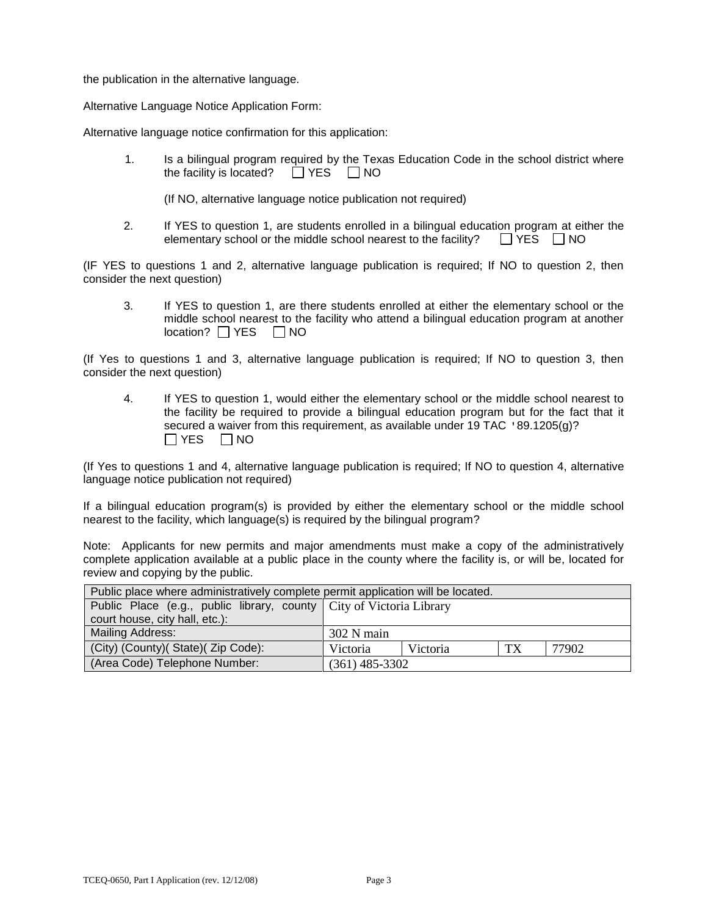the publication in the alternative language.

Alternative Language Notice Application Form:

Alternative language notice confirmation for this application:

1. Is a bilingual program required by the Texas Education Code in the school district where the facility is located?  $\Box$  YES  $\Box$  NO

(If NO, alternative language notice publication not required)

2. If YES to question 1, are students enrolled in a bilingual education program at either the elementary school or the middle school nearest to the facility?  $\Box$  YES  $\Box$  NO

(IF YES to questions 1 and 2, alternative language publication is required; If NO to question 2, then consider the next question)

3. If YES to question 1, are there students enrolled at either the elementary school or the middle school nearest to the facility who attend a bilingual education program at another  $location? \Box YES \Box NO$ 

(If Yes to questions 1 and 3, alternative language publication is required; If NO to question 3, then consider the next question)

4. If YES to question 1, would either the elementary school or the middle school nearest to the facility be required to provide a bilingual education program but for the fact that it secured a waiver from this requirement, as available under 19 TAC '89.1205(g)?  $\Box$  YES  $\Box$  NO

(If Yes to questions 1 and 4, alternative language publication is required; If NO to question 4, alternative language notice publication not required)

If a bilingual education program(s) is provided by either the elementary school or the middle school nearest to the facility, which language(s) is required by the bilingual program?

Note: Applicants for new permits and major amendments must make a copy of the administratively complete application available at a public place in the county where the facility is, or will be, located for review and copying by the public.

| Public place where administratively complete permit application will be located. |                  |          |    |       |  |  |
|----------------------------------------------------------------------------------|------------------|----------|----|-------|--|--|
| Public Place (e.g., public library, county   City of Victoria Library            |                  |          |    |       |  |  |
| court house, city hall, etc.):                                                   |                  |          |    |       |  |  |
| <b>Mailing Address:</b>                                                          | $302$ N main     |          |    |       |  |  |
| (City) (County) (State) (Zip Code):                                              | Victoria         | Victoria | TX | 77902 |  |  |
| (Area Code) Telephone Number:                                                    | $(361)$ 485-3302 |          |    |       |  |  |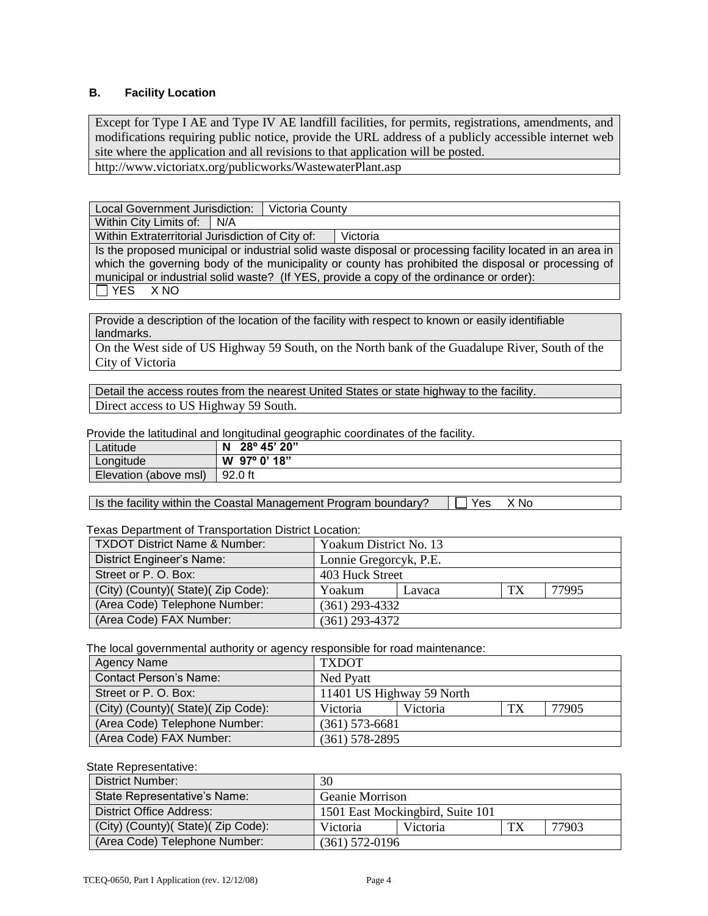# **B. Facility Location**

Except for Type I AE and Type IV AE landfill facilities, for permits, registrations, amendments, and modifications requiring public notice, provide the URL address of a publicly accessible internet web site where the application and all revisions to that application will be posted. http://www.victoriatx.org/publicworks/WastewaterPlant.asp

Local Government Jurisdiction: | Victoria County

Within City Limits of:  $\big| N/A$ 

Within Extraterritorial Jurisdiction of City of: Victoria

Is the proposed municipal or industrial solid waste disposal or processing facility located in an area in which the governing body of the municipality or county has prohibited the disposal or processing of municipal or industrial solid waste? (If YES, provide a copy of the ordinance or order):

 $\Box$  YES X NO

Provide a description of the location of the facility with respect to known or easily identifiable landmarks.

On the West side of US Highway 59 South, on the North bank of the Guadalupe River, South of the City of Victoria

Detail the access routes from the nearest United States or state highway to the facility. Direct access to US Highway 59 South.

Provide the latitudinal and longitudinal geographic coordinates of the facility.

| ∟atitude              | 28° 45' 20"<br>N         |
|-----------------------|--------------------------|
| Longitude             | $97^{\circ}$ 0' 18"<br>W |
| Elevation (above msl) | 92.0 ft                  |

Is the facility within the Coastal Management Program boundary?  $\Box$  Yes  $\Box$  X No

Texas Department of Transportation District Location:

| <b>TXDOT District Name &amp; Number:</b> | Yoakum District No. 13 |  |  |       |  |
|------------------------------------------|------------------------|--|--|-------|--|
| District Engineer's Name:                | Lonnie Gregorcyk, P.E. |  |  |       |  |
| Street or P. O. Box:                     | 403 Huck Street        |  |  |       |  |
| (City) (County) (State) (Zip Code):      | TX<br>Yoakum<br>Lavaca |  |  | 77995 |  |
| (Area Code) Telephone Number:            | $(361)$ 293-4332       |  |  |       |  |
| (Area Code) FAX Number:                  | $(361)$ 293-4372       |  |  |       |  |

The local governmental authority or agency responsible for road maintenance:

| <b>Agency Name</b>                  | <b>TXDOT</b>                        |  |  |  |
|-------------------------------------|-------------------------------------|--|--|--|
| Contact Person's Name:              | Ned Pyatt                           |  |  |  |
| Street or P. O. Box:                | 11401 US Highway 59 North           |  |  |  |
| (City) (County) (State) (Zip Code): | 77905<br>TX<br>Victoria<br>Victoria |  |  |  |
| (Area Code) Telephone Number:       | $(361)$ 573-6681                    |  |  |  |
| (Area Code) FAX Number:             | $(361)$ 578-2895                    |  |  |  |

#### State Representative:

| District Number:                    | 30                               |          |    |       |
|-------------------------------------|----------------------------------|----------|----|-------|
| State Representative's Name:        | Geanie Morrison                  |          |    |       |
| <b>District Office Address:</b>     | 1501 East Mockingbird, Suite 101 |          |    |       |
| (City) (County) (State) (Zip Code): | Victoria                         | Victoria | TX | 77903 |
| (Area Code) Telephone Number:       | $(361)$ 572-0196                 |          |    |       |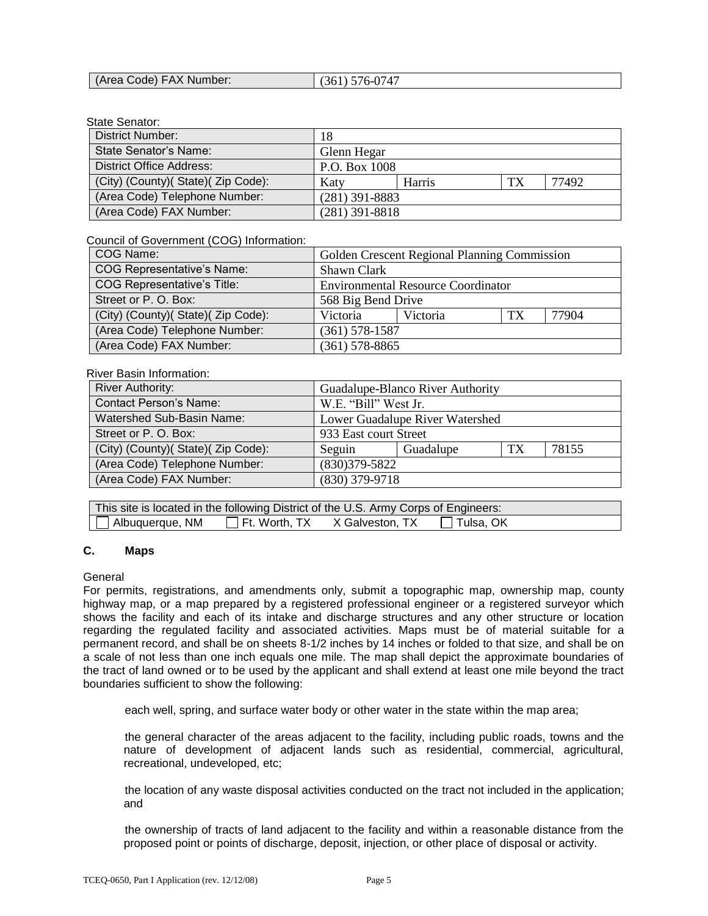| (Area Code) FAX Number: | $(361) 576-0747$ |
|-------------------------|------------------|
|                         |                  |

#### State Senator:

| District Number:                    | 18                   |  |       |  |
|-------------------------------------|----------------------|--|-------|--|
| State Senator's Name:               | Glenn Hegar          |  |       |  |
| <b>District Office Address:</b>     | P.O. Box 1008        |  |       |  |
| (City) (County) (State) (Zip Code): | TX<br>Harris<br>Katy |  | 77492 |  |
| (Area Code) Telephone Number:       | $(281)$ 391-8883     |  |       |  |
| (Area Code) FAX Number:             | $(281)$ 391-8818     |  |       |  |

#### Council of Government (COG) Information:

| COG Name:                           | Golden Crescent Regional Planning Commission |  |  |  |
|-------------------------------------|----------------------------------------------|--|--|--|
| COG Representative's Name:          | Shawn Clark                                  |  |  |  |
| COG Representative's Title:         | <b>Environmental Resource Coordinator</b>    |  |  |  |
| Street or P. O. Box:                | 568 Big Bend Drive                           |  |  |  |
| (City) (County) (State) (Zip Code): | 77904<br>Victoria<br>TX<br>Victoria          |  |  |  |
| (Area Code) Telephone Number:       | $(361)$ 578-1587                             |  |  |  |
| (Area Code) FAX Number:             | $(361)$ 578-8865                             |  |  |  |

#### River Basin Information:

| <b>River Authority:</b>             | Guadalupe-Blanco River Authority   |  |  |  |
|-------------------------------------|------------------------------------|--|--|--|
| <b>Contact Person's Name:</b>       | W.E. "Bill" West Jr.               |  |  |  |
| Watershed Sub-Basin Name:           | Lower Guadalupe River Watershed    |  |  |  |
| Street or P. O. Box:                | 933 East court Street              |  |  |  |
| (City) (County) (State) (Zip Code): | 78155<br>Guadalupe<br>TX<br>Seguin |  |  |  |
| (Area Code) Telephone Number:       | $(830)379 - 5822$                  |  |  |  |
| (Area Code) FAX Number:             | $(830)$ 379-9718                   |  |  |  |

| This site is located in the following District of the U.S. Army Corps of Engineers: |  |  |
|-------------------------------------------------------------------------------------|--|--|
| Albuquerque, NM         Ft. Worth, TX      X Galveston, TX         Tulsa, OK        |  |  |

# **C. Maps**

#### General

For permits, registrations, and amendments only, submit a topographic map, ownership map, county highway map, or a map prepared by a registered professional engineer or a registered surveyor which shows the facility and each of its intake and discharge structures and any other structure or location regarding the regulated facility and associated activities. Maps must be of material suitable for a permanent record, and shall be on sheets 8-1/2 inches by 14 inches or folded to that size, and shall be on a scale of not less than one inch equals one mile. The map shall depict the approximate boundaries of the tract of land owned or to be used by the applicant and shall extend at least one mile beyond the tract boundaries sufficient to show the following:

each well, spring, and surface water body or other water in the state within the map area;

the general character of the areas adjacent to the facility, including public roads, towns and the nature of development of adjacent lands such as residential, commercial, agricultural, recreational, undeveloped, etc;

the location of any waste disposal activities conducted on the tract not included in the application; and

the ownership of tracts of land adjacent to the facility and within a reasonable distance from the proposed point or points of discharge, deposit, injection, or other place of disposal or activity.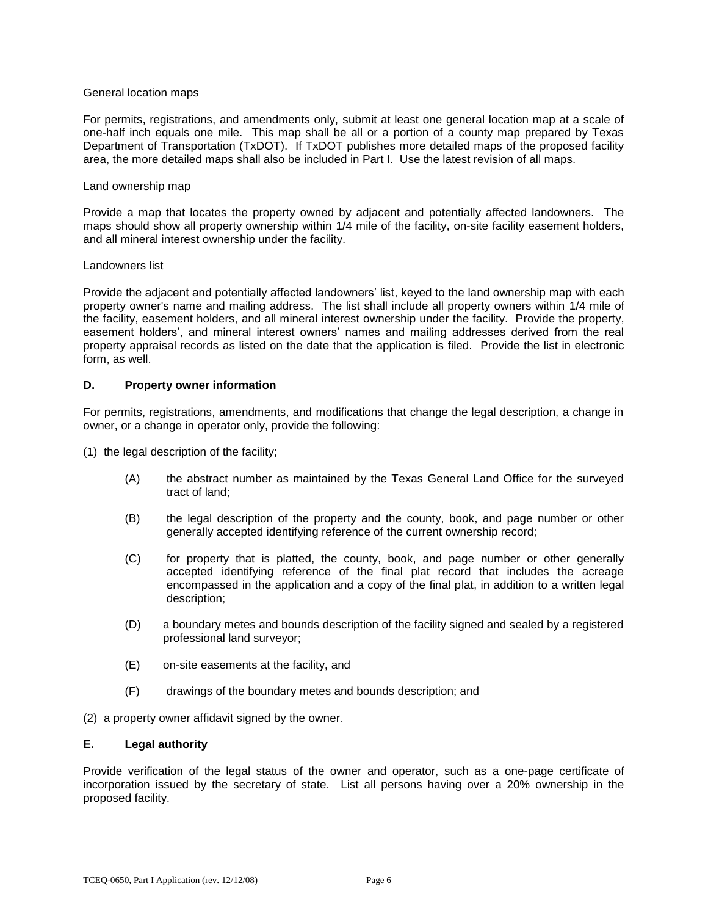#### General location maps

For permits, registrations, and amendments only, submit at least one general location map at a scale of one-half inch equals one mile. This map shall be all or a portion of a county map prepared by Texas Department of Transportation (TxDOT). If TxDOT publishes more detailed maps of the proposed facility area, the more detailed maps shall also be included in Part I. Use the latest revision of all maps.

#### Land ownership map

Provide a map that locates the property owned by adjacent and potentially affected landowners. The maps should show all property ownership within 1/4 mile of the facility, on-site facility easement holders, and all mineral interest ownership under the facility.

#### Landowners list

Provide the adjacent and potentially affected landowners' list, keyed to the land ownership map with each property owner's name and mailing address. The list shall include all property owners within 1/4 mile of the facility, easement holders, and all mineral interest ownership under the facility. Provide the property, easement holders', and mineral interest owners' names and mailing addresses derived from the real property appraisal records as listed on the date that the application is filed. Provide the list in electronic form, as well.

#### **D. Property owner information**

For permits, registrations, amendments, and modifications that change the legal description, a change in owner, or a change in operator only, provide the following:

(1) the legal description of the facility;

- (A) the abstract number as maintained by the Texas General Land Office for the surveyed tract of land;
- (B) the legal description of the property and the county, book, and page number or other generally accepted identifying reference of the current ownership record;
- (C) for property that is platted, the county, book, and page number or other generally accepted identifying reference of the final plat record that includes the acreage encompassed in the application and a copy of the final plat, in addition to a written legal description;
- (D) a boundary metes and bounds description of the facility signed and sealed by a registered professional land surveyor;
- (E) on-site easements at the facility, and
- (F) drawings of the boundary metes and bounds description; and

(2) a property owner affidavit signed by the owner.

# **E. Legal authority**

Provide verification of the legal status of the owner and operator, such as a one-page certificate of incorporation issued by the secretary of state. List all persons having over a 20% ownership in the proposed facility.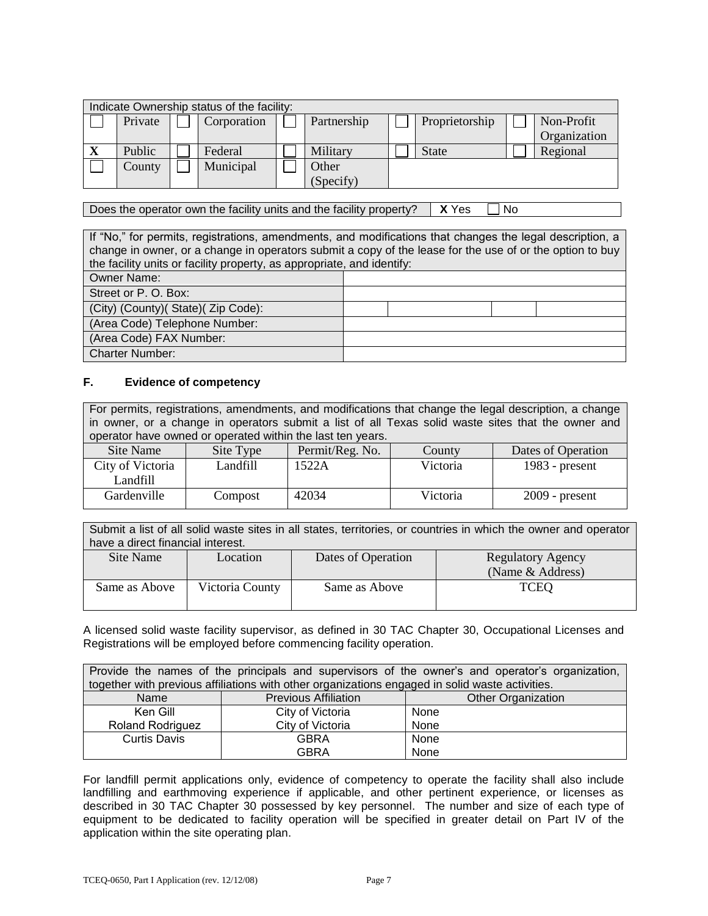|              |         | Indicate Ownership status of the facility: |             |                |              |
|--------------|---------|--------------------------------------------|-------------|----------------|--------------|
|              | Private | Corporation                                | Partnership | Proprietorship | Non-Profit   |
|              |         |                                            |             |                | Organization |
| $\mathbf{X}$ | Public  | Federal                                    | Military    | <b>State</b>   | Regional     |
|              | County  | Municipal                                  | Other       |                |              |
|              |         |                                            | (Specify)   |                |              |

Does the operator own the facility units and the facility property?  $\parallel$  **X** Yes  $\Box$  No

If "No," for permits, registrations, amendments, and modifications that changes the legal description, a change in owner, or a change in operators submit a copy of the lease for the use of or the option to buy the facility units or facility property, as appropriate, and identify: Owner Name: Street or P. O. Box: (City) (County)( State)( Zip Code): (Area Code) Telephone Number: (Area Code) FAX Number: Charter Number:

#### **F. Evidence of competency**

For permits, registrations, amendments, and modifications that change the legal description, a change in owner, or a change in operators submit a list of all Texas solid waste sites that the owner and operator have owned or operated within the last ten years.

| Site Name        | Site Type | Permit/Reg. No. | County   | Dates of Operation |
|------------------|-----------|-----------------|----------|--------------------|
| City of Victoria | andfill_  | 1522A           | Victoria | $1983$ - present   |
| Landfill         |           |                 |          |                    |
| Gardenville      | Compost   | 42034           | Victoria | $2009$ - present   |

Submit a list of all solid waste sites in all states, territories, or countries in which the owner and operator have a direct financial interest.

| Site Name     | Location        | Dates of Operation | <b>Regulatory Agency</b><br>(Name & Address) |
|---------------|-----------------|--------------------|----------------------------------------------|
| Same as Above | Victoria County | Same as Above      | <b>TCEQ</b>                                  |

A licensed solid waste facility supervisor, as defined in 30 TAC Chapter 30, Occupational Licenses and Registrations will be employed before commencing facility operation.

| Provide the names of the principals and supervisors of the owner's and operator's organization, |                                                                                                 |                           |  |  |  |
|-------------------------------------------------------------------------------------------------|-------------------------------------------------------------------------------------------------|---------------------------|--|--|--|
|                                                                                                 | together with previous affiliations with other organizations engaged in solid waste activities. |                           |  |  |  |
| Name                                                                                            | <b>Previous Affiliation</b>                                                                     | <b>Other Organization</b> |  |  |  |
| Ken Gill<br>City of Victoria<br>None                                                            |                                                                                                 |                           |  |  |  |
| City of Victoria<br><b>Roland Rodriguez</b>                                                     |                                                                                                 | None                      |  |  |  |
| Curtis Davis                                                                                    | <b>GBRA</b>                                                                                     | None                      |  |  |  |
|                                                                                                 | <b>GBRA</b>                                                                                     | None                      |  |  |  |

For landfill permit applications only, evidence of competency to operate the facility shall also include landfilling and earthmoving experience if applicable, and other pertinent experience, or licenses as described in 30 TAC Chapter 30 possessed by key personnel. The number and size of each type of equipment to be dedicated to facility operation will be specified in greater detail on Part IV of the application within the site operating plan.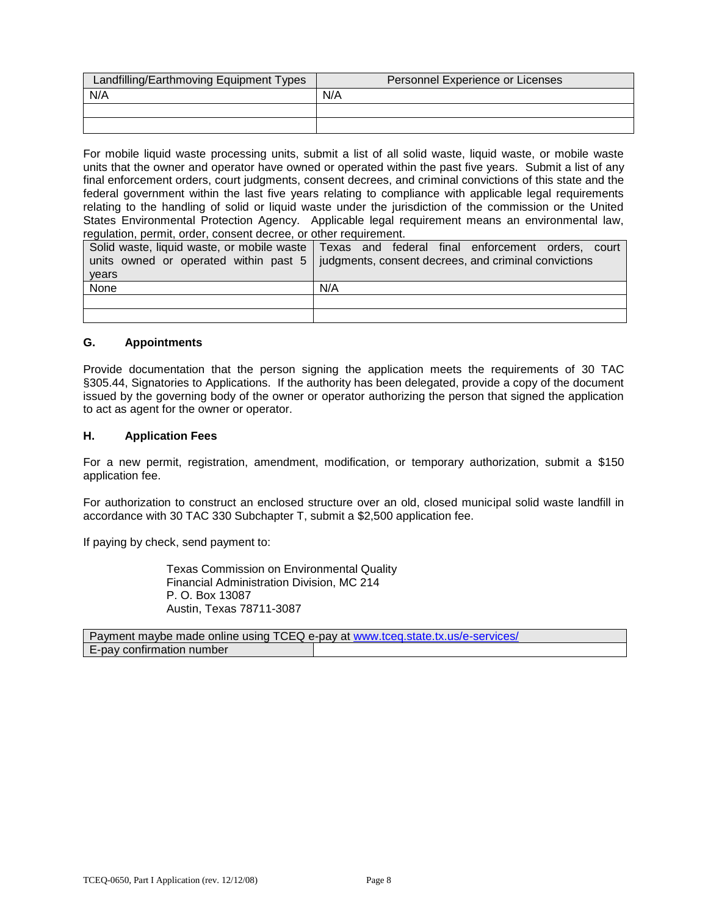| Landfilling/Earthmoving Equipment Types | Personnel Experience or Licenses |
|-----------------------------------------|----------------------------------|
| N/A                                     | N/A                              |
|                                         |                                  |
|                                         |                                  |

For mobile liquid waste processing units, submit a list of all solid waste, liquid waste, or mobile waste units that the owner and operator have owned or operated within the past five years. Submit a list of any final enforcement orders, court judgments, consent decrees, and criminal convictions of this state and the federal government within the last five years relating to compliance with applicable legal requirements relating to the handling of solid or liquid waste under the jurisdiction of the commission or the United States Environmental Protection Agency. Applicable legal requirement means an environmental law, regulation, permit, order, consent decree, or other requirement.

|       | Solid waste, liquid waste, or mobile waste   Texas and federal final enforcement orders, court    |
|-------|---------------------------------------------------------------------------------------------------|
|       | units owned or operated within past $5 \mid$ judgments, consent decrees, and criminal convictions |
| years |                                                                                                   |
| None  | N/A                                                                                               |
|       |                                                                                                   |
|       |                                                                                                   |

# **G. Appointments**

Provide documentation that the person signing the application meets the requirements of 30 TAC §305.44, Signatories to Applications. If the authority has been delegated, provide a copy of the document issued by the governing body of the owner or operator authorizing the person that signed the application to act as agent for the owner or operator.

#### **H. Application Fees**

For a new permit, registration, amendment, modification, or temporary authorization, submit a \$150 application fee.

For authorization to construct an enclosed structure over an old, closed municipal solid waste landfill in accordance with 30 TAC 330 Subchapter T, submit a \$2,500 application fee.

If paying by check, send payment to:

Texas Commission on Environmental Quality Financial Administration Division, MC 214 P. O. Box 13087 Austin, Texas 78711-3087

| Payment maybe made online using TCEQ e-pay at www.tceq.state.tx.us/e-services/ |  |  |  |
|--------------------------------------------------------------------------------|--|--|--|
| E-pay confirmation number                                                      |  |  |  |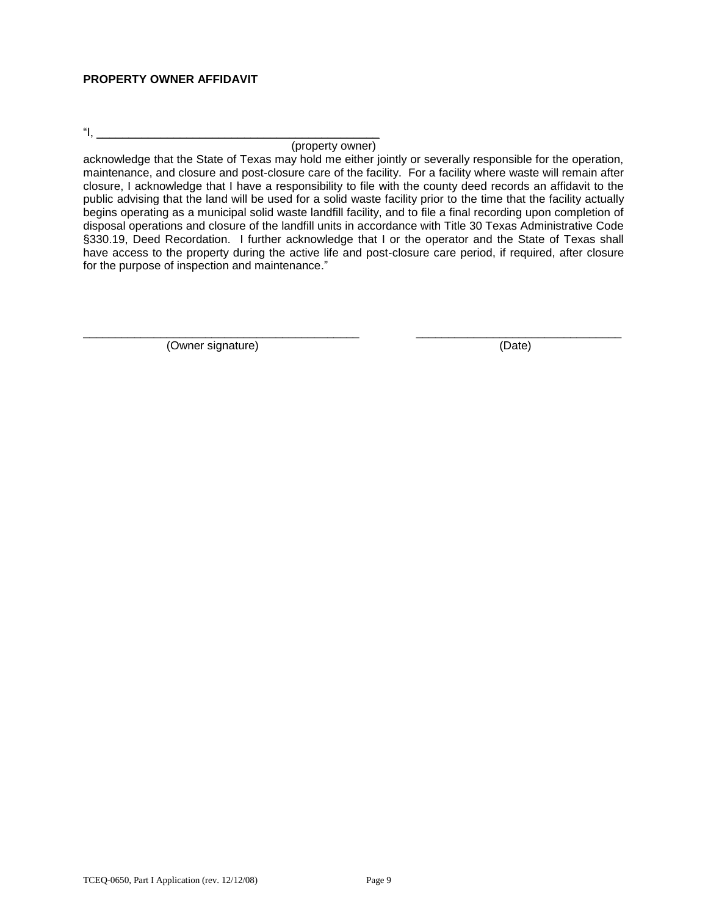# **PROPERTY OWNER AFFIDAVIT**

"I, \_\_\_\_\_\_\_\_\_\_\_\_\_\_\_\_\_\_\_\_\_\_\_\_\_\_\_\_\_\_\_\_\_\_\_\_\_\_\_\_\_\_\_\_

(property owner)

acknowledge that the State of Texas may hold me either jointly or severally responsible for the operation, maintenance, and closure and post-closure care of the facility. For a facility where waste will remain after closure, I acknowledge that I have a responsibility to file with the county deed records an affidavit to the public advising that the land will be used for a solid waste facility prior to the time that the facility actually begins operating as a municipal solid waste landfill facility, and to file a final recording upon completion of disposal operations and closure of the landfill units in accordance with Title 30 Texas Administrative Code §330.19, Deed Recordation. I further acknowledge that I or the operator and the State of Texas shall have access to the property during the active life and post-closure care period, if required, after closure for the purpose of inspection and maintenance."

\_\_\_\_\_\_\_\_\_\_\_\_\_\_\_\_\_\_\_\_\_\_\_\_\_\_\_\_\_\_\_\_\_\_\_\_\_\_\_\_\_\_\_ \_\_\_\_\_\_\_\_\_\_\_\_\_\_\_\_\_\_\_\_\_\_\_\_\_\_\_\_\_\_\_\_

(Owner signature) (Date)